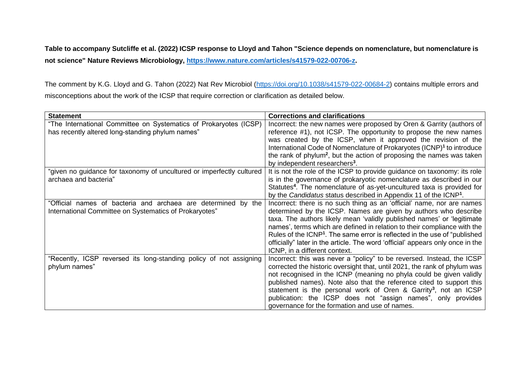**Table to accompany Sutcliffe et al. (2022) ICSP response to Lloyd and Tahon "Science depends on nomenclature, but nomenclature is not science" Nature Reviews Microbiology, [https://www.nature.com/articles/s41579-022-00706-z.](https://www.nature.com/articles/s41579-022-00706-z)** 

The comment by K.G. Lloyd and G. Tahon (2022) Nat Rev Microbiol [\(https://doi.org/10.1038/s41579-022-00684-2\)](https://doi.org/10.1038/s41579-022-00684-2) contains multiple errors and misconceptions about the work of the ICSP that require correction or clarification as detailed below.

| <b>Statement</b>                                                      | <b>Corrections and clarifications</b>                                                  |
|-----------------------------------------------------------------------|----------------------------------------------------------------------------------------|
| "The International Committee on Systematics of Prokaryotes (ICSP)     | Incorrect: the new names were proposed by Oren & Garrity (authors of                   |
| has recently altered long-standing phylum names"                      | reference #1), not ICSP. The opportunity to propose the new names                      |
|                                                                       | was created by the ICSP, when it approved the revision of the                          |
|                                                                       | International Code of Nomenclature of Prokaryotes (ICNP) <sup>1</sup> to introduce     |
|                                                                       | the rank of phylum <sup>2</sup> , but the action of proposing the names was taken      |
|                                                                       | by independent researchers <sup>3</sup> .                                              |
| "given no guidance for taxonomy of uncultured or imperfectly cultured | It is not the role of the ICSP to provide guidance on taxonomy: its role               |
| archaea and bacteria"                                                 | is in the governance of prokaryotic nomenclature as described in our                   |
|                                                                       | Statutes <sup>4</sup> . The nomenclature of as-yet-uncultured taxa is provided for     |
|                                                                       | by the Candidatus status described in Appendix 11 of the ICNP <sup>1</sup> .           |
| "Official names of bacteria and archaea are determined by the         | Incorrect: there is no such thing as an 'official' name, nor are names                 |
| International Committee on Systematics of Prokaryotes"                | determined by the ICSP. Names are given by authors who describe                        |
|                                                                       | taxa. The authors likely mean 'validly published names' or 'legitimate                 |
|                                                                       | names', terms which are defined in relation to their compliance with the               |
|                                                                       | Rules of the ICNP <sup>1</sup> . The same error is reflected in the use of "published" |
|                                                                       | officially" later in the article. The word 'official' appears only once in the         |
|                                                                       | ICNP, in a different context.                                                          |
| "Recently, ICSP reversed its long-standing policy of not assigning    | Incorrect: this was never a "policy" to be reversed. Instead, the ICSP                 |
| phylum names"                                                         | corrected the historic oversight that, until 2021, the rank of phylum was              |
|                                                                       | not recognised in the ICNP (meaning no phyla could be given validly                    |
|                                                                       | published names). Note also that the reference cited to support this                   |
|                                                                       | statement is the personal work of Oren & Garrity <sup>3</sup> , not an ICSP            |
|                                                                       | publication: the ICSP does not "assign names", only provides                           |
|                                                                       | governance for the formation and use of names.                                         |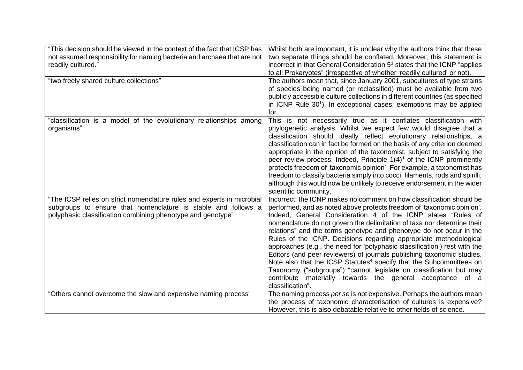| "This decision should be viewed in the context of the fact that ICSP has | Whilst both are important, it is unclear why the authors think that these             |
|--------------------------------------------------------------------------|---------------------------------------------------------------------------------------|
| not assumed responsibility for naming bacteria and archaea that are not  | two separate things should be conflated. Moreover, this statement is                  |
| readily cultured."                                                       | incorrect in that General Consideration 5 <sup>1</sup> states that the ICNP "applies" |
|                                                                          | to all Prokaryotes" (irrespective of whether 'readily cultured' or not).              |
| "two freely shared culture collections"                                  | The authors mean that, since January 2001, subcultures of type strains                |
|                                                                          | of species being named (or reclassified) must be available from two                   |
|                                                                          | publicly accessible culture collections in different countries (as specified          |
|                                                                          | in ICNP Rule 30 <sup>1</sup> ). In exceptional cases, exemptions may be applied       |
|                                                                          | for.                                                                                  |
| "classification is a model of the evolutionary relationships among       | This is not necessarily true as it conflates classification with                      |
| organisms"                                                               | phylogenetic analysis. Whilst we expect few would disagree that a                     |
|                                                                          | classification should ideally reflect evolutionary relationships, a                   |
|                                                                          | classification can in fact be formed on the basis of any criterion deemed             |
|                                                                          | appropriate in the opinion of the taxonomist, subject to satisfying the               |
|                                                                          | peer review process. Indeed, Principle $1(4)^1$ of the ICNP prominently               |
|                                                                          | protects freedom of 'taxonomic opinion'. For example, a taxonomist has                |
|                                                                          | freedom to classify bacteria simply into cocci, filaments, rods and spirilli,         |
|                                                                          | although this would now be unlikely to receive endorsement in the wider               |
|                                                                          | scientific community.                                                                 |
| "The ICSP relies on strict nomenclature rules and experts in microbial   | Incorrect: the ICNP makes no comment on how classification should be                  |
| subgroups to ensure that nomenclature is stable and follows a            | performed, and as noted above protects freedom of 'taxonomic opinion'.                |
| polyphasic classification combining phenotype and genotype"              | Indeed, General Consideration 4 of the ICNP states "Rules of                          |
|                                                                          | nomenclature do not govern the delimitation of taxa nor determine their               |
|                                                                          | relations" and the terms genotype and phenotype do not occur in the                   |
|                                                                          | Rules of the ICNP. Decisions regarding appropriate methodological                     |
|                                                                          | approaches (e.g., the need for 'polyphasic classification') rest with the             |
|                                                                          | Editors (and peer reviewers) of journals publishing taxonomic studies.                |
|                                                                          | Note also that the ICSP Statutes <sup>4</sup> specify that the Subcommittees on       |
|                                                                          | Taxonomy ("subgroups") "cannot legislate on classification but may                    |
|                                                                          | contribute materially towards the general acceptance of a                             |
|                                                                          | classification".                                                                      |
| "Others cannot overcome the slow and expensive naming process"           | The naming process per se is not expensive. Perhaps the authors mean                  |
|                                                                          | the process of taxonomic characterisation of cultures is expensive?                   |
|                                                                          | However, this is also debatable relative to other fields of science.                  |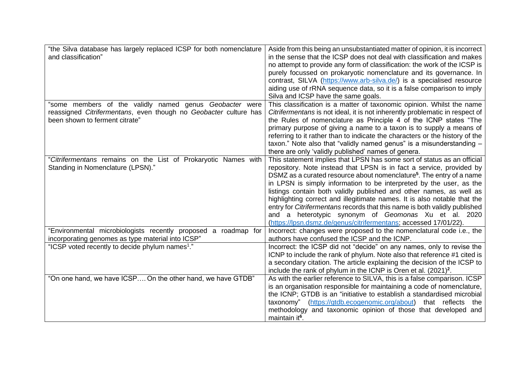| "the Silva database has largely replaced ICSP for both nomenclature<br>and classification"                                                                    | Aside from this being an unsubstantiated matter of opinion, it is incorrect<br>in the sense that the ICSP does not deal with classification and makes<br>no attempt to provide any form of classification: the work of the ICSP is<br>purely focussed on prokaryotic nomenclature and its governance. In<br>contrast, SILVA (https://www.arb-silva.de/) is a specialised resource<br>aiding use of rRNA sequence data, so it is a false comparison to imply<br>Silva and ICSP have the same goals.                                                                                                                                                                      |
|---------------------------------------------------------------------------------------------------------------------------------------------------------------|-------------------------------------------------------------------------------------------------------------------------------------------------------------------------------------------------------------------------------------------------------------------------------------------------------------------------------------------------------------------------------------------------------------------------------------------------------------------------------------------------------------------------------------------------------------------------------------------------------------------------------------------------------------------------|
| 'some members of the validly named genus Geobacter were<br>reassigned Citrifermentans, even though no Geobacter culture has<br>been shown to ferment citrate" | This classification is a matter of taxonomic opinion. Whilst the name<br>Citrifermentans is not ideal, it is not inherently problematic in respect of<br>the Rules of nomenclature as Principle 4 of the ICNP states "The<br>primary purpose of giving a name to a taxon is to supply a means of<br>referring to it rather than to indicate the characters or the history of the<br>taxon." Note also that "validly named genus" is a misunderstanding -<br>there are only 'validly published' names of genera.                                                                                                                                                         |
| "Citrifermentans remains on the List of Prokaryotic Names with<br>Standing in Nomenclature (LPSN)."                                                           | This statement implies that LPSN has some sort of status as an official<br>repository. Note instead that LPSN is in fact a service, provided by<br>DSMZ as a curated resource about nomenclature <sup>5</sup> . The entry of a name<br>in LPSN is simply information to be interpreted by the user, as the<br>listings contain both validly published and other names, as well as<br>highlighting correct and illegitimate names. It is also notable that the<br>entry for Citrifermentans records that this name is both validly published<br>and a heterotypic synonym of Geomonas Xu et al. 2020<br>(https://lpsn.dsmz.de/genus/citrifermentans; accessed 17/01/22). |
| "Environmental microbiologists recently proposed a roadmap for<br>incorporating genomes as type material into ICSP"                                           | Incorrect: changes were proposed to the nomenclatural code i.e., the<br>authors have confused the ICSP and the ICNP.                                                                                                                                                                                                                                                                                                                                                                                                                                                                                                                                                    |
| "ICSP voted recently to decide phylum names <sup>1</sup> ."                                                                                                   | Incorrect: the ICSP did not "decide" on any names, only to revise the<br>ICNP to include the rank of phylum. Note also that reference #1 cited is<br>a secondary citation. The article explaining the decision of the ICSP to<br>include the rank of phylum in the ICNP is Oren et al. (2021) <sup>2</sup> .                                                                                                                                                                                                                                                                                                                                                            |
| "On one hand, we have ICSP On the other hand, we have GTDB"                                                                                                   | As with the earlier reference to SILVA, this is a false comparison. ICSP<br>is an organisation responsible for maintaining a code of nomenclature,<br>the ICNP; GTDB is an "initiative to establish a standardised microbial<br>taxonomy" (https://gtdb.ecogenomic.org/about)<br>that reflects<br>the<br>methodology and taxonomic opinion of those that developed and<br>maintain it <sup>6</sup> .                                                                                                                                                                                                                                                                    |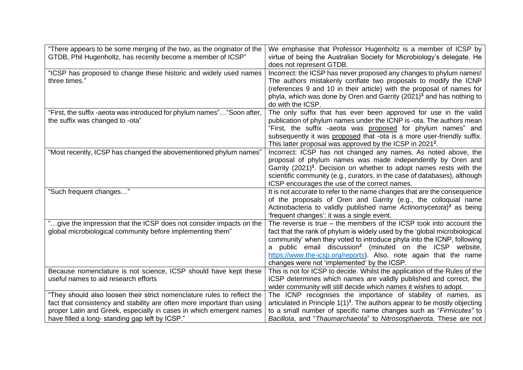| "There appears to be some merging of the two, as the originator of the<br>GTDB, Phil Hugenholtz, has recently become a member of ICSP"                                                                                                                                      | We emphasise that Professor Hugenholtz is a member of ICSP by<br>virtue of being the Australian Society for Microbiology's delegate. He<br>does not represent GTDB.                                                                                                                                                                                                                                                          |
|-----------------------------------------------------------------------------------------------------------------------------------------------------------------------------------------------------------------------------------------------------------------------------|------------------------------------------------------------------------------------------------------------------------------------------------------------------------------------------------------------------------------------------------------------------------------------------------------------------------------------------------------------------------------------------------------------------------------|
| "ICSP has proposed to change these historic and widely used names<br>three times."                                                                                                                                                                                          | Incorrect: the ICSP has never proposed any changes to phylum names!<br>The authors mistakenly conflate two proposals to modify the ICNP<br>(references 9 and 10 in their article) with the proposal of names for<br>phyla, which was done by Oren and Garrity (2021) <sup>3</sup> and has nothing to<br>do with the ICSP.                                                                                                    |
| "First, the suffix -aeota was introduced for phylum names" "Soon after,<br>the suffix was changed to -ota"                                                                                                                                                                  | The only suffix that has ever been approved for use in the valid<br>publication of phylum names under the ICNP is -ota. The authors mean<br>"First, the suffix -aeota was proposed for phylum names" and<br>subsequently it was proposed that -ota is a more user-friendly suffix.<br>This latter proposal was approved by the ICSP in 2021 <sup>2</sup> .                                                                   |
| "Most recently, ICSP has changed the abovementioned phylum names"                                                                                                                                                                                                           | Incorrect: ICSP has not changed any names. As noted above, the<br>proposal of phylum names was made independently by Oren and<br>Garrity (2021) <sup>3</sup> . Decision on whether to adopt names rests with the<br>scientific community (e.g., curators, in the case of databases), although<br>ICSP encourages the use of the correct names.                                                                               |
| "Such frequent changes"                                                                                                                                                                                                                                                     | It is not accurate to refer to the name changes that are the consequence<br>of the proposals of Oren and Garrity (e.g., the colloquial name<br>Actinobacteria to validly published name Actinomycetota) <sup>3</sup> as being<br>'frequent changes': it was a single event.                                                                                                                                                  |
| "give the impression that the ICSP does not consider impacts on the<br>global microbiological community before implementing them"                                                                                                                                           | The reverse is true $-$ the members of the ICSP took into account the<br>fact that the rank of phylum is widely used by the 'global microbiological<br>community' when they voted to introduce phyla into the ICNP, following<br>public email discussion <sup>2</sup> (minuted on the ICSP website,<br>a<br>https://www.the-icsp.org/reports). Also, note again that the name<br>changes were not 'implemented' by the ICSP. |
| Because nomenclature is not science, ICSP should have kept these<br>useful names to aid research efforts                                                                                                                                                                    | This is not for ICSP to decide. Whilst the application of the Rules of the<br>ICSP determines which names are validly published and correct, the<br>wider community will still decide which names it wishes to adopt.                                                                                                                                                                                                        |
| "They should also loosen their strict nomenclature rules to reflect the<br>fact that consistency and stability are often more important than using<br>proper Latin and Greek, especially in cases in which emergent names<br>have filled a long-standing gap left by ICSP." | The ICNP recognises the importance of stability of names, as<br>articulated in Principle $1(1)^1$ . The authors appear to be mostly objecting<br>to a small number of specific name changes such as "Firmicutes" to<br>Bacillota, and "Thaumarchaeota" to Nitrososphaerota. These are not                                                                                                                                    |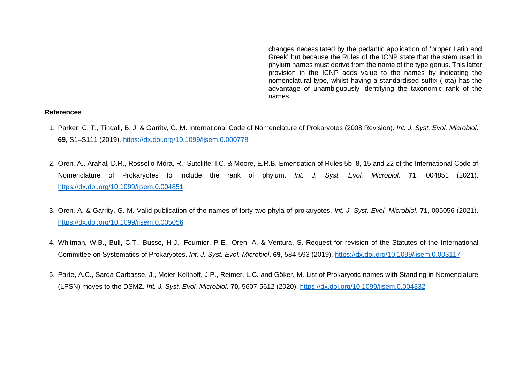| changes necessitated by the pedantic application of 'proper Latin and  |
|------------------------------------------------------------------------|
| Greek' but because the Rules of the ICNP state that the stem used in   |
| phylum names must derive from the name of the type genus. This latter  |
| provision in the ICNP adds value to the names by indicating the        |
| nomenclatural type, whilst having a standardised suffix (-ota) has the |
| advantage of unambiguously identifying the taxonomic rank of the       |
| names.                                                                 |

## **References**

- 1. Parker, C. T., Tindall, B. J. & Garrity, G. M. International Code of Nomenclature of Prokaryotes (2008 Revision). *Int. J. Syst. Evol. Microbiol*. **69**, S1–S111 (2019). <https://dx.doi.org/10.1099/ijsem.0.000778>
- 2. Oren, A., Arahal, D.R., Rosselló-Móra, R., Sutcliffe, I.C. & Moore, E.R.B. Emendation of Rules 5b, 8, 15 and 22 of the International Code of Nomenclature of Prokaryotes to include the rank of phylum. *Int. J. Syst. Evol. Microbiol*. **71**, 004851 (2021). <https://dx.doi.org/10.1099/ijsem.0.004851>
- 3. Oren, A. & Garrity, G. M. Valid publication of the names of forty-two phyla of prokaryotes. *Int. J. Syst. Evol. Microbiol*. **71**, 005056 (2021). <https://dx.doi.org/10.1099/ijsem.0.005056>
- 4. Whitman, W.B., Bull, C.T., Busse, H-J., Fournier, P-E., Oren, A. & Ventura, S. Request for revision of the Statutes of the International Committee on Systematics of Prokaryotes. *Int. J. Syst. Evol. Microbiol*. **69**, 584-593 (2019). <https://dx.doi.org/10.1099/ijsem.0.003117>
- 5. Parte, A.C., Sardà Carbasse, J., Meier-Kolthoff, J.P., Reimer, L.C. and Göker, M. List of Prokaryotic names with Standing in Nomenclature (LPSN) moves to the DSMZ. *Int. J. Syst. Evol. Microbiol*. **70**, 5607-5612 (2020). <https://dx.doi.org/10.1099/ijsem.0.004332>